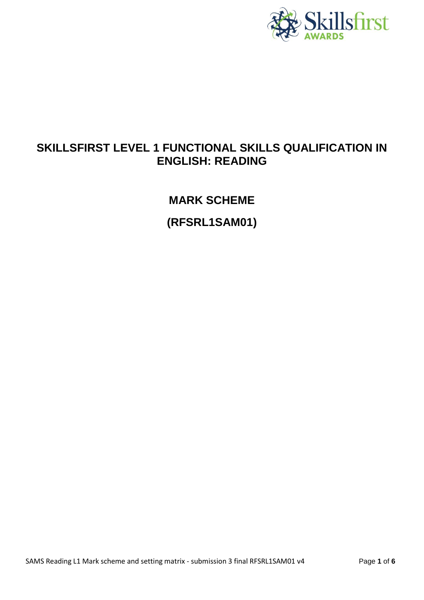

## **SKILLSFIRST LEVEL 1 FUNCTIONAL SKILLS QUALIFICATION IN ENGLISH: READING**

## **MARK SCHEME**

**(RFSRL1SAM01)**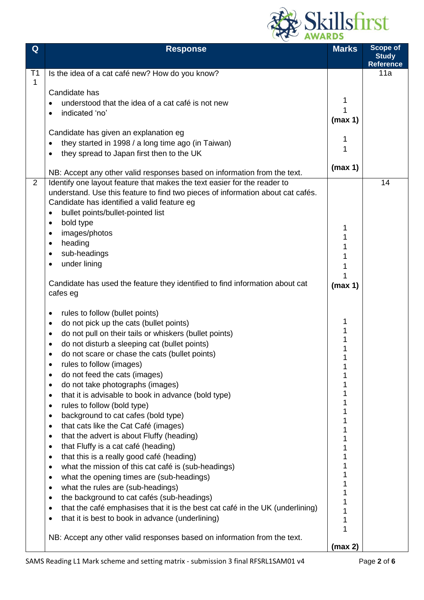

| Q              | <b>Response</b>                                                                               | <b>Marks</b> | <b>Scope of</b><br><b>Study</b><br><b>Reference</b> |
|----------------|-----------------------------------------------------------------------------------------------|--------------|-----------------------------------------------------|
| T <sub>1</sub> | Is the idea of a cat café new? How do you know?                                               |              | 11a                                                 |
| $\mathbf{1}$   |                                                                                               |              |                                                     |
|                | Candidate has                                                                                 |              |                                                     |
|                | understood that the idea of a cat café is not new                                             | 1            |                                                     |
|                | indicated 'no'<br>$\bullet$                                                                   | (max 1)      |                                                     |
|                | Candidate has given an explanation eg                                                         |              |                                                     |
|                | they started in 1998 / a long time ago (in Taiwan)<br>$\bullet$                               | 1            |                                                     |
|                | they spread to Japan first then to the UK<br>$\bullet$                                        | 1            |                                                     |
|                |                                                                                               |              |                                                     |
|                | NB: Accept any other valid responses based on information from the text.                      | (max 1)      |                                                     |
| 2              | Identify one layout feature that makes the text easier for the reader to                      |              | 14                                                  |
|                | understand. Use this feature to find two pieces of information about cat cafés.               |              |                                                     |
|                | Candidate has identified a valid feature eg                                                   |              |                                                     |
|                | bullet points/bullet-pointed list<br>$\bullet$                                                |              |                                                     |
|                | bold type<br>$\bullet$                                                                        | 1            |                                                     |
|                | images/photos<br>$\bullet$                                                                    |              |                                                     |
|                | heading<br>٠<br>sub-headings                                                                  |              |                                                     |
|                | $\bullet$<br>under lining<br>$\bullet$                                                        |              |                                                     |
|                |                                                                                               |              |                                                     |
|                | Candidate has used the feature they identified to find information about cat                  | (max 1)      |                                                     |
|                | cafes eg                                                                                      |              |                                                     |
|                | rules to follow (bullet points)<br>$\bullet$                                                  |              |                                                     |
|                | do not pick up the cats (bullet points)<br>$\bullet$                                          | 1            |                                                     |
|                | do not pull on their tails or whiskers (bullet points)<br>$\bullet$                           | 1            |                                                     |
|                | do not disturb a sleeping cat (bullet points)<br>٠                                            |              |                                                     |
|                | do not scare or chase the cats (bullet points)<br>٠                                           |              |                                                     |
|                | rules to follow (images)                                                                      |              |                                                     |
|                | do not feed the cats (images)<br>$\bullet$                                                    |              |                                                     |
|                | do not take photographs (images)<br>$\bullet$                                                 |              |                                                     |
|                | that it is advisable to book in advance (bold type)<br>$\bullet$                              |              |                                                     |
|                | rules to follow (bold type)<br>$\bullet$                                                      |              |                                                     |
|                | background to cat cafes (bold type)<br>$\bullet$                                              |              |                                                     |
|                | that cats like the Cat Café (images)<br>$\bullet$                                             |              |                                                     |
|                | that the advert is about Fluffy (heading)<br>$\bullet$                                        |              |                                                     |
|                | that Fluffy is a cat café (heading)<br>$\bullet$<br>that this is a really good café (heading) |              |                                                     |
|                | $\bullet$<br>what the mission of this cat café is (sub-headings)<br>$\bullet$                 |              |                                                     |
|                | what the opening times are (sub-headings)<br>$\bullet$                                        |              |                                                     |
|                | what the rules are (sub-headings)<br>$\bullet$                                                |              |                                                     |
|                | the background to cat cafés (sub-headings)<br>$\bullet$                                       |              |                                                     |
|                | that the café emphasises that it is the best cat café in the UK (underlining)<br>$\bullet$    |              |                                                     |
|                | that it is best to book in advance (underlining)<br>$\bullet$                                 | 1            |                                                     |
|                |                                                                                               | 1            |                                                     |
|                | NB: Accept any other valid responses based on information from the text.                      |              |                                                     |
|                |                                                                                               | (max 2)      |                                                     |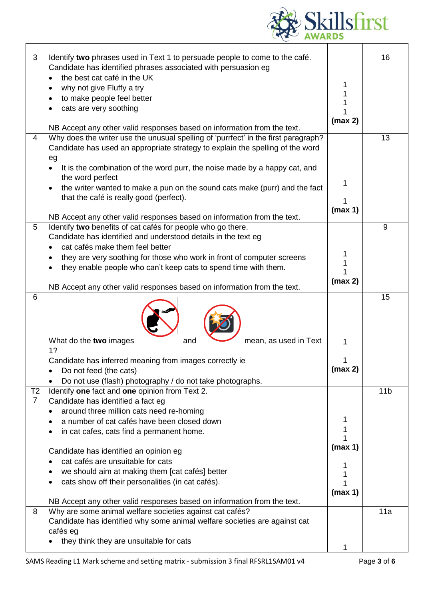

| 3              | Identify two phrases used in Text 1 to persuade people to come to the café.        |         | 16              |
|----------------|------------------------------------------------------------------------------------|---------|-----------------|
|                | Candidate has identified phrases associated with persuasion eg                     |         |                 |
|                | the best cat café in the UK                                                        |         |                 |
|                | why not give Fluffy a try                                                          |         |                 |
|                | to make people feel better                                                         |         |                 |
|                | cats are very soothing                                                             |         |                 |
|                |                                                                                    | (max 2) |                 |
|                | NB Accept any other valid responses based on information from the text.            |         |                 |
| 4              | Why does the writer use the unusual spelling of 'purrfect' in the first paragraph? |         | 13              |
|                | Candidate has used an appropriate strategy to explain the spelling of the word     |         |                 |
|                | eg                                                                                 |         |                 |
|                | It is the combination of the word purr, the noise made by a happy cat, and         |         |                 |
|                | the word perfect                                                                   | 1       |                 |
|                | the writer wanted to make a pun on the sound cats make (purr) and the fact         |         |                 |
|                | that the café is really good (perfect).                                            | 1       |                 |
|                |                                                                                    | (max 1) |                 |
|                | NB Accept any other valid responses based on information from the text.            |         |                 |
| 5              | Identify two benefits of cat cafés for people who go there.                        |         | 9               |
|                | Candidate has identified and understood details in the text eg                     |         |                 |
|                | cat cafés make them feel better                                                    | 1       |                 |
|                | they are very soothing for those who work in front of computer screens             |         |                 |
|                | they enable people who can't keep cats to spend time with them.                    |         |                 |
|                |                                                                                    | (max 2) |                 |
| 6              | NB Accept any other valid responses based on information from the text.            |         | 15              |
|                | What do the two images<br>mean, as used in Text<br>and                             | 1       |                 |
|                | 1?                                                                                 |         |                 |
|                | Candidate has inferred meaning from images correctly ie                            | 1       |                 |
|                | Do not feed (the cats)                                                             | (max 2) |                 |
|                | Do not use (flash) photography / do not take photographs.                          |         |                 |
| T <sub>2</sub> | Identify one fact and one opinion from Text 2.                                     |         | 11 <sub>b</sub> |
| $\overline{7}$ | Candidate has identified a fact eg                                                 |         |                 |
|                | around three million cats need re-homing                                           |         |                 |
|                | a number of cat cafés have been closed down                                        |         |                 |
|                | in cat cafes, cats find a permanent home.                                          | 1       |                 |
|                |                                                                                    | 1       |                 |
|                | Candidate has identified an opinion eg                                             | (max 1) |                 |
|                | cat cafés are unsuitable for cats                                                  |         |                 |
|                | we should aim at making them [cat cafés] better<br>٠                               |         |                 |
|                | cats show off their personalities (in cat cafés).                                  |         |                 |
|                |                                                                                    | (max 1) |                 |
|                | NB Accept any other valid responses based on information from the text.            |         |                 |
| 8              | Why are some animal welfare societies against cat cafés?                           |         | 11a             |
|                | Candidate has identified why some animal welfare societies are against cat         |         |                 |
|                | cafés eg                                                                           |         |                 |
|                | they think they are unsuitable for cats                                            |         |                 |
|                |                                                                                    |         |                 |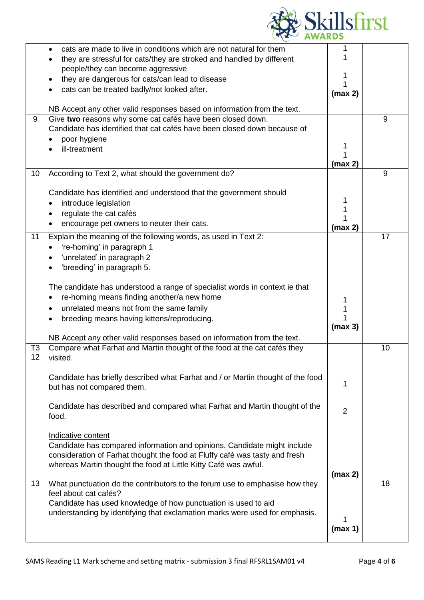

|                | cats are made to live in conditions which are not natural for them              |                |    |
|----------------|---------------------------------------------------------------------------------|----------------|----|
|                | they are stressful for cats/they are stroked and handled by different           |                |    |
|                | people/they can become aggressive                                               |                |    |
|                | they are dangerous for cats/can lead to disease                                 |                |    |
|                | cats can be treated badly/not looked after.                                     |                |    |
|                |                                                                                 | (max 2)        |    |
|                | NB Accept any other valid responses based on information from the text.         |                |    |
| 9              | Give two reasons why some cat cafés have been closed down.                      |                | 9  |
|                | Candidate has identified that cat cafés have been closed down because of        |                |    |
|                | poor hygiene                                                                    |                |    |
|                | ill-treatment                                                                   |                |    |
|                |                                                                                 | (max 2)        |    |
| 10             | According to Text 2, what should the government do?                             |                | 9  |
|                |                                                                                 |                |    |
|                | Candidate has identified and understood that the government should              |                |    |
|                | introduce legislation                                                           |                |    |
|                | regulate the cat cafés                                                          |                |    |
|                | encourage pet owners to neuter their cats.                                      | (max 2)        |    |
| 11             | Explain the meaning of the following words, as used in Text 2:                  |                | 17 |
|                | 're-homing' in paragraph 1                                                      |                |    |
|                | 'unrelated' in paragraph 2                                                      |                |    |
|                | 'breeding' in paragraph 5.                                                      |                |    |
|                |                                                                                 |                |    |
|                | The candidate has understood a range of specialist words in context ie that     |                |    |
|                | re-homing means finding another/a new home<br>$\bullet$                         |                |    |
|                | unrelated means not from the same family<br>$\bullet$                           |                |    |
|                | breeding means having kittens/reproducing.                                      |                |    |
|                |                                                                                 | (max 3)        |    |
|                | NB Accept any other valid responses based on information from the text.         |                |    |
| T <sub>3</sub> | Compare what Farhat and Martin thought of the food at the cat cafés they        |                | 10 |
| 12             | visited.                                                                        |                |    |
|                | Candidate has briefly described what Farhat and / or Martin thought of the food |                |    |
|                | but has not compared them.                                                      | 1              |    |
|                |                                                                                 |                |    |
|                | Candidate has described and compared what Farhat and Martin thought of the      |                |    |
|                | food.                                                                           | $\overline{2}$ |    |
|                |                                                                                 |                |    |
|                | Indicative content                                                              |                |    |
|                | Candidate has compared information and opinions. Candidate might include        |                |    |
|                | consideration of Farhat thought the food at Fluffy café was tasty and fresh     |                |    |
|                | whereas Martin thought the food at Little Kitty Café was awful.                 |                |    |
|                |                                                                                 | (max 2)        |    |
| 13             | What punctuation do the contributors to the forum use to emphasise how they     |                | 18 |
|                | feel about cat cafés?                                                           |                |    |
|                | Candidate has used knowledge of how punctuation is used to aid                  |                |    |
|                | understanding by identifying that exclamation marks were used for emphasis.     |                |    |
|                |                                                                                 | (max 1)        |    |
|                |                                                                                 |                |    |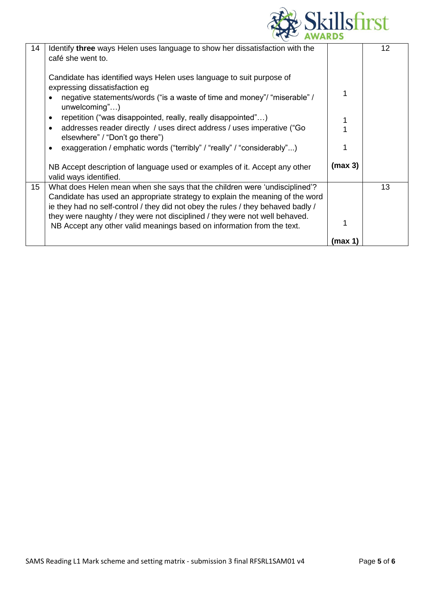

| 14 | Identify three ways Helen uses language to show her dissatisfaction with the<br>café she went to.                                                           |         | $12 \overline{ }$ |
|----|-------------------------------------------------------------------------------------------------------------------------------------------------------------|---------|-------------------|
|    |                                                                                                                                                             |         |                   |
|    | Candidate has identified ways Helen uses language to suit purpose of<br>expressing dissatisfaction eg                                                       |         |                   |
|    | negative statements/words ("is a waste of time and money"/ "miserable" /<br>$unwelcoming$ ")                                                                |         |                   |
|    | repetition ("was disappointed, really, really disappointed")                                                                                                |         |                   |
|    | addresses reader directly / uses direct address / uses imperative ("Go<br>elsewhere" / "Don't go there")                                                    |         |                   |
|    | exaggeration / emphatic words ("terribly" / "really" / "considerably")                                                                                      |         |                   |
|    | NB Accept description of language used or examples of it. Accept any other<br>valid ways identified.                                                        | (max 3) |                   |
| 15 | What does Helen mean when she says that the children were 'undisciplined'?<br>Candidate has used an appropriate strategy to explain the meaning of the word |         | 13                |
|    | ie they had no self-control / they did not obey the rules / they behaved badly /                                                                            |         |                   |
|    | they were naughty / they were not disciplined / they were not well behaved.<br>NB Accept any other valid meanings based on information from the text.       |         |                   |
|    |                                                                                                                                                             | max 1)  |                   |